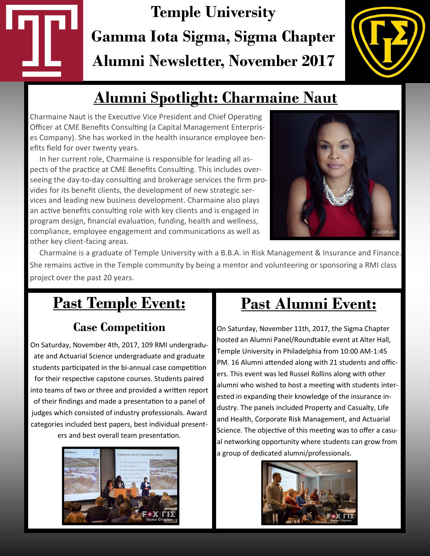# **Temple University Gamma Iota Sigma, Sigma Chapter Alumni Newsletter, November 2017**



## **Alumni Spotlight: Charmaine Naut**

Charmaine Naut is the Executive Vice President and Chief Operating Officer at CME Benefits Consulting (a Capital Management Enterprises Company). She has worked in the health insurance employee benefits field for over twenty years.

In her current role, Charmaine is responsible for leading all aspects of the practice at CME Benefits Consulting. This includes overseeing the day-to-day consulting and brokerage services the firm provides for its benefit clients, the development of new strategic services and leading new business development. Charmaine also plays an active benefits consulting role with key clients and is engaged in program design, financial evaluation, funding, health and wellness, compliance, employee engagement and communications as well as other key client-facing areas.



Charmaine is a graduate of Temple University with a B.B.A. in Risk Management & Insurance and Finance. She remains active in the Temple community by being a mentor and volunteering or sponsoring a RMI class project over the past 20 years.

## **Past Temple Event:** *<sup>=</sup>*

#### **Case Competition**

On Saturday, November 4th, 2017, 109 RMI undergraduate and Actuarial Science undergraduate and graduate students participated in the bi-annual case competition for their respective capstone courses. Students paired into teams of two or three and provided a written report of their findings and made a presentation to a panel of judges which consisted of industry professionals. Award categories included best papers, best individual presenters and best overall team presentation.



### **Past Alumni Event:**

On Saturday, November 11th, 2017, the Sigma Chapter hosted an Alumni Panel/Roundtable event at Alter Hall, Temple University in Philadelphia from 10:00 AM-1:45 PM. 16 Alumni attended along with 21 students and officers. This event was led Russel Rollins along with other alumni who wished to host a meeting with students interested in expanding their knowledge of the insurance industry. The panels included Property and Casualty, Life and Health, Corporate Risk Management, and Actuarial Science. The objective of this meeting was to offer a casual networking opportunity where students can grow from a group of dedicated alumni/professionals.